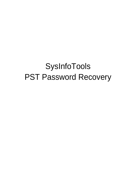# SysInfoTools PST Password Recovery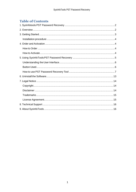# **Table of Contents**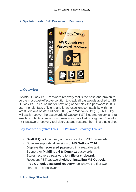## <span id="page-2-0"></span>**1. SysInfotools PST Password Recovery**



## <span id="page-2-1"></span>**2.Overview**

Sysinfo Outlook PST Password recovery tool is the best, and proven to be the most cost-effective solution to crack all passwords applied to MS Outlook PST files, no matter how long or complex the password is. It is user-friendly, fast, efficient, and it has excellent compatibility with the latest versions of MS Outlook (2016) and Windows OS (10).This utility will easily recover the passwords of Outlook PST files and unlock all vital emails, contacts & tasks which user may have lost or forgotten. SysInfo PST password recovery tool decrypts and restores them in a single shot.

Key features of SysInfoTools PST Password Recovery Tool are:

- **Swift & Quick** recovery of the lost Outlook PST passwords.
- Software supports all versions of **MS Outlook 2016**.
- Displays the **recovered password** in a readable text.
- Support for **Multilingual & Complex** passwords.
- Stores recovered password to a **file** or **clipboard**.
- Recovers PST password **without installing MS Outlook**.
- **Free Outlook password recovery** tool shows the first two characters of passwords

# <span id="page-2-2"></span>**3.Getting Started**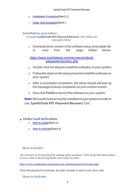- [Installation Procedure\(](#page-3-0)See 3.1)
- Order And Activation (See 4.)

### <span id="page-3-0"></span>**Installation procedure**

To install **SysInfoTools PST Password Recovery** Tool, follow the steps given below:

1. Download demo version of the software setup (executable file or .exe) from the page linked below:

[https://www.sysinfotools.com/recovery/outlook](https://www.sysinfotools.com/recovery/outlook-password-recovery.php)[password-recovery.php](https://www.sysinfotools.com/recovery/outlook-password-recovery.php)

- 2. Double-click the setup to install the software onyour system.
- 3. Follow the steps on the setup wizard to install the software on your system.
- 4. After a successful completion, the setup wizard will pop-up the message of setup completion on your monitor screen.
- 5. Now click **Finish** to launch the software on your system.

**Note:**MicrosoftOutlookmustbeinstalledonyoursysteminorderto use **SysInfoTools PST Password Recovery** Tool.

## <span id="page-3-1"></span>**4. Order and Activation**

- **[How to Order](#page-3-2) (See 4.1)**
- **[How to Activate](#page-3-3) (See 4.2)**

## <span id="page-3-2"></span>**How to Order**

The software can be purchased by making online payments. Click on the link shown below to have a look at the pricing details and to place an order.

<https://www.sysinfotools.com/buynow/ms-outlook-password-recovery.php>

Once the payment is received, an order number is sent to you via e-mail.

#### <span id="page-3-3"></span>**How to Activate**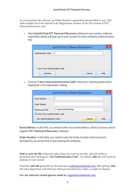As you purchase the software, an Order Number is generated and provided to you. This order number has to be entered in the Registration window of the full version of PST Password Recovery tool.

• Open **SysInfoTools PST Password Recovery** software in your system, software registration dialog will pop-up on your screen to enter software authentication key.

| SysInfoTools Software Registration |  |
|------------------------------------|--|
| Authentication Code:               |  |
|                                    |  |
|                                    |  |
| I don't have authentication code   |  |
| Cancel<br>Help<br>Activate         |  |

• Click the **"I don't have Authentication Code"** check box, following fields will be displayed in the registration dialog:

| SysInfoTools Software Registration |                      | x        |
|------------------------------------|----------------------|----------|
| Email Address:                     |                      |          |
| Order Number:                      |                      |          |
| Path to save file:                 | C:\Users\SAM\Desktop | $\cdots$ |
| √ I don't have authentication code |                      |          |
| Get Authenticatication Code        | Cancel<br>Help       |          |

**Email Address:** In this field, you need to enter your email address, which you have used to register **PST Password Recovery** software.

**Order Number:** In this field, you need to enter the Order Number which has been provided to you at the time of purchasing the software.

**Path to save the file:** Select the path where you want to save the .info file which is generated after clicking on **"Get Authentication Code"**, by default **.info** file will saved on desktop of your system.

Send this **.info file** generated by the software at [sales@sysinfotools.com,](mailto:sales@sysinfotools.com) after getting **.info** file sales department will send you software activation key within a couple of minutes.

**For any software related queries email at:** [support@sysinfotools.com](mailto:support@sysinfotools.com)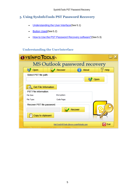# <span id="page-5-0"></span>**5. Using SysInfoTools PST Password Recovery**

- [Understanding](#page-5-1) the User Interface (See 5.1)
- [Button Used](#page-5-2)(See 5.2)
- How to Use the PST [Password Recovery](#page-6-0) software?(See 5.3)

# <span id="page-5-1"></span>**Understanding the UserInterface**

<span id="page-5-2"></span>

| <b>OYSINFO TOOLS\</b>               |                                          |      |
|-------------------------------------|------------------------------------------|------|
|                                     | <b>MS Outlook password recovery</b>      |      |
| Open                                | Recover<br>About                         | Help |
| Select PST file path:               |                                          | Open |
| <b>Get File Infomation</b>          |                                          |      |
| PST File information:<br>File Size: | Encryption:                              |      |
| File Type:                          | Code Page:                               |      |
| Recover PST file password:          |                                          |      |
| Copy to clipboard                   | Recover                                  |      |
|                                     | Visit SysInfoTools @www.sysinfotools.com | Exit |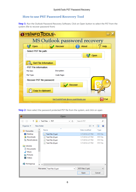# <span id="page-6-0"></span>**How to use PST Password Recovery Tool**

**Step 1:** Run the Outlook Password Recovery Software, Click on Open button to select the PST from the system (file to recover password from)

| <b>OYSINFO TOOLS\</b>                               |                                          |      |
|-----------------------------------------------------|------------------------------------------|------|
|                                                     | MS Outlook password recovery             |      |
| Open                                                | Recover<br>About                         | Help |
| Select PST file path:                               |                                          | Open |
| <b>Get File Infomation</b><br>PST File information: |                                          |      |
| File Size:                                          | Encryption:                              |      |
| File Type:                                          | Code Page:                               |      |
| Recover PST file password:                          | Recover                                  |      |
| Copy to clipboard                                   |                                          |      |
|                                                     | Visit SysInfoTools @www.sysinfotools.com | Exit |

**Step 2:** Here select the password protected PST file from the system, and click on open

| $\overline{\mathbf{0}}$                      |                                               | Open    |                    | ×               |
|----------------------------------------------|-----------------------------------------------|---------|--------------------|-----------------|
| $(\Leftarrow)$<br>⇔                          | ▶ Test Files ▶ PST                            | Ċ<br>v. | Search PST         | مر              |
| Organise $\blacktriangleright$<br>New folder |                                               |         | 睚                  | mп              |
| ۸<br><b>X</b> Favourites                     | Name                                          | ×       | Date modified      | Type            |
| Desktop                                      | Test File (1).pst<br>E)                       |         | 1/7/2016 2:27 PM   | <b>PST File</b> |
| Downloads<br>b.                              | Test File (2).pst<br>$\left  \bullet \right $ |         | 1/7/2016 2:27 PM   | <b>PST File</b> |
| <b>Recent places</b>                         | Test File (3).pst<br>G                        |         | 1/7/2016 2:27 PM   | <b>PST File</b> |
|                                              | Test File (4).pst<br>Ø                        |         | 1/7/2016 2:27 PM   | <b>PST File</b> |
| <b>Libraries</b>                             |                                               |         |                    |                 |
| Documents                                    |                                               |         |                    |                 |
| Nusic                                        |                                               |         |                    |                 |
| <b>Pictures</b>                              |                                               |         |                    |                 |
| Videos<br>Ħ                                  |                                               |         |                    |                 |
| <b>&amp;</b> Homegroup                       | $\vee$ $\leq$                                 |         |                    | $\rightarrow$   |
|                                              | File name:   Test File (1).pst                | v       | .PST Files (*.pst) | v               |
|                                              |                                               |         | Open               | Cancel<br>пÎ.   |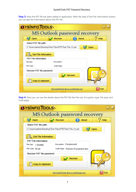#### SysInfoTools PST Password Recovery

**Step 3:** Now the PST file has been added in application. With the help of Get File Information button, you can get the information about the PST file.

| <b><i><u>YsinfoTools</u></i></b>                                |
|-----------------------------------------------------------------|
| <b>MS Outlook password recovery</b>                             |
| Recover<br>Open<br>About<br>Help                                |
| Select PST file path:                                           |
| C:\Users\admin\Desktop\Test Files\PST\Test File (1).pst<br>Open |
| <b>Get File Infomation</b>                                      |
| PST File information:                                           |
| File Size:<br>Encryption:                                       |
| File Type:<br>Code Page:                                        |
| Recover PST file password:                                      |
| Recover                                                         |
| Copy to clipboard                                               |
| Exit<br>Visit SysInfoTools @www.sysinfotools.com                |

**Step 4:** Now you can see the details about the PST file like File size, Encryption type, File type, and Code page.

| <b>OYSINFO TOOLS\</b>                                           |
|-----------------------------------------------------------------|
| MS Outlook password recovery                                    |
| Recover<br>About<br>Help<br>Open                                |
| Select PST file path:                                           |
| C:\Users\admin\Desktop\Test Files\PST\Test File (1).pst<br>Open |
| <b>Get File Infomation</b>                                      |
| PST File information:                                           |
| Encryption: Compressed<br>File Size:<br>1.95(MB)                |
| File Type: 64-bit<br>Code Page: Western European/Latin          |
| Recover PST file password:                                      |
| Recover                                                         |
| Copy to clipboard                                               |
| Exit<br>Visit SysInfoTools @www.sysinfotools.com                |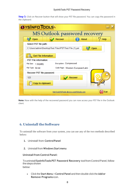#### SysInfoTools PST Password Recovery

**Step 5:** Click on Recover button that will show your PST file password. You can copy the password in the clipboard.

| YsinFo Tools                                                    |
|-----------------------------------------------------------------|
| MS Outlook password recovery                                    |
| Recover<br>Open<br><b>About</b><br>Help                         |
| Select PST file path:                                           |
| C:\Users\admin\Desktop\Test Files\PST\Test File (1).pst<br>Open |
| <b>Get File Infomation</b>                                      |
| PST File information:                                           |
| <b>Encryption: Compressed</b><br>File Size:<br>1.95(MB)         |
| File Type: 64-bit<br>Code Page: Western European/Latin          |
| Recover PST file password:                                      |
| Recover<br>123                                                  |
| Copy to clipboard                                               |
| Exit<br>Visit SysInfoTools @www.sysinfotools.com                |

**Note:** Now with the help of the recovered password you can now access your PST file in the Outlook client.

# <span id="page-8-0"></span>**6. Uninstall theSoftware**

To uninstall the software from your system, you can use any of the two methods described below:

- **1.** Uninstall from **ControlPanel**
- **2.** Uninstall from **Windows Start menu**

**Uninstall from Control Panel:** 

Touninstall**SysInfoToolsPST Password Recovery** toolfromControlPanel,follow thestepsshown below:

• Click the **Start Menu** > **Control Panel** and then double click the **Add or Remove Programs** icon.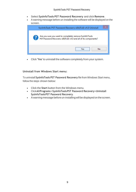- Select **SysInfoTools PST Password Recovery** and click **Remove**.
- A warning message before un-installing the software will be displayed on the screen.

| SysInfoTools PST Password Recovery x86(Full) v4.0 Uninstall                                                                |
|----------------------------------------------------------------------------------------------------------------------------|
| Are you sure you want to completely remove SysInfoTools<br>PST Password Recovery x86(Full) v4.0 and all of its components? |
| <br>Nο<br>ہ /                                                                                                              |

• Click **'Yes'** to uninstall the software completely from your system.

#### **Uninstall from Windows Start menu:**

To uninstall **SysInfoTools PST Password Recovery** file from Windows Start menu, follow the steps shown below:

- Click the **Start** button from the Windows menu.
- Click**AllPrograms**>**SysInfoToolsPST Password Recovery>Uninstall SysInfoToolsPST Password Recovery**.
- A warning message before un-installingwill be displayed on the screen.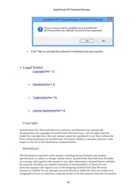

• Click **'Yes'** to uninstall the software completely from your system.

## <span id="page-10-0"></span>**7. Legal Notice**

[Copyright\(](#page-10-1)See 7.1)

- [Disclaimer](#page-10-2)(See 7.2)
- [Trademarks](#page-11-0)(See 7.3)
- [License Agreement](#page-11-1)(See7.4)

## <span id="page-10-1"></span>**Copyright**

SysInfoTools PST Password Recovery software, accompanied user manual and documentation are copyright of SysInfoTools Data Recovery, with all rights reserved. Under the copyright laws, this user manual cannot be reproduced in any form without the Prior written permission of SysInfoTools. No Patent Liability is assumed, however, with respect to the use of the Information contained herein.

#### <span id="page-10-2"></span>**Disclaimer**

The Information contained in this manual, including but not limited to any product specifications, is subject to change without notice. SysInfoTools Data Recovery Provides no warranty with regard to this manual or any other information contained herein and here by expressly disclaims any implied warranties of merchantability or fitness for any particular purpose with regard to any of the foregoing SysInfoTools Data Recovery assumes no liability for any damages incurred directly or indirectly from any technical or typographical errors or omissions contained herein or for discrepancies between theproduct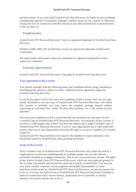and the manual. In no event shall SysInfoTools Data Recovery, be liable for any incidental, consequential special, or exemplary damages, whether based on tort, contract or otherwise, arising out of or in connection with this manual or any other information contained herein or the use there of.

#### <span id="page-11-0"></span>**Trademarks**

SysInfoTools PST Password Recovery Tool is a registered trademark of SysInfoTools Data Recovery.

Windows 2000, 2003, XP and Windows Vista are registered trademarks of Microsoft Corporation.

All other brands and product names are trademarks or registered trademarks of their respective companies.

#### <span id="page-11-1"></span>**License Agreement**

SysInfoTools PST Password Recovery Copyright by SysInfoTools Data Recovery.

#### Your Agreement to this License

You should carefully read the following terms and conditions before using, installing or distributing this software, unless you have a different license agreement signed by SysInfoTools Data Recovery.

If you do not agree to all of the terms and conditions of this License, then: do not copy, install, distribute or use any copy of SysInfoTools PST Password Recovery with which this License is included, you may return the complete package unused without requesting an activation key, within 30 days after purchase, for a full refund of your payment.

The terms and conditions of this License describe the permitted use and users of each Licensed Copy of SysInfoTools PST Password Recovery. For purposes of this License, if you have a valid single-copy license, you have the right to use a single Licensed Copy of SysInfoTools PST Password Recovery; if you or your organization has a valid multi-user license, then you or your organization have/has the right to use up to a number of Licensed Copies of

SysInfoTools PST Password Recovery equal to the number of copies indicated in the documents issued by SysInfoTools when granting the license.

#### Scope of the License

Each Licensed Copy of SysInfoTools PST Password Recovery may either be used by a single person or used non-simultaneously by multiple people who use the software personally installed on a single workstation. This is not a concurrent user license. All rights of any kind in SysInfoTools PST Password Recovery, which are not expressly granted in this License, are entirely and exclusively reserved to and by SysInfoTools. You may not rent, lease, modify, translate, reverse engineer, decompile, disassemble, or create derivative works based on, SysInfoTools PST Password Recovery, nor permit anyone else to do so. You may not make access to SysInfoTools PST Password Recovery available to others in connection with a service bureau, application service provider, or similar business, nor permit anyone else to do so.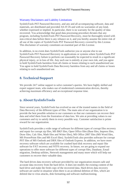#### Warranty Disclaimers and Liability Limitations

SysInfoTools PST Password Recovery, and any and all accompanying software, data and materials, are distributed and provided AS-IT-IS and with no warranties of any kind, whether expressed or implied. In particular, there is no warranty for the quality of data recovered. You acknowledge that good data processing procedure dictates that any program, including SysInfoTools PST Password Recovery, must be thoroughly tested with non-critical data before there is any reliance on it, and you hereby assume the entire risk of all use of the copies of SysInfoTools PST Password Recovery covered by this License. This disclaimer of warranty constitutes an essential part of this License.

In addition, in no event does SysInfoTools authorize you or anyone else to use SysInfoTools PST Password Recovery in applications or systems where SysInfoTools PST Password Recovery failure to perform can reasonably be expected to result in a significant physical injury, or in loss of life. Any such use is entirely at your own risk, and you agree to hold SysInfoTools harmless from all claims or losses relating to such unauthorized use. You agree to hold SysInfoTools Data Recovery harmless from any and all claims or losses relating to such unauthorized use.

# <span id="page-12-0"></span>**8. Technical Support**

We provide 24/7 online support to solve customer's queries. We have highly skilled and expert support team, who makes use of modernized communication devices, thereby achieving maximum efficiency and an exceptional response time.

## <span id="page-12-1"></span>**9. About SysInfoTools**

Since several years, SysInfoTools has evolved as one of the trusted names in the field of Data Recovery of the different types of files. The main aim of our organization is to provide the best possible solution to our customers so that our customers can recover their data and relief them from the frustration of data loss. We aim at providing values to our customers and try to satisfy them in every possible way. Customer satisfaction is prime reward for our organization.

SysInfoTools provides a wide range of software for different types of corrupt files recovery and repair for corrupt zip files, MS BKF files, Open Office files (Base files, Impress files, Draw files, Calc files, Math files and Writer files), MS Office 2007 files (MS Word files, MS PowerPoint files and MS Excel files). SysInfoTools also provides software for corrupt PST files of MS Outlook and DBX files of Outlook Express. In addition, we have more recovery software which are available for crashed hard disk recovery and repair like software for FAT recovery and NTFS recovery. In future, we are going to expand our operations to offer more software for different types of corrupt files, Database, Email migration, Desktop utilities, Network management and many more which will help our customers to recover their valuable data.

The hard drives data recovery software provided by our organization ensures safe and accurate data recovery from the hard drive. It does not modify the existing content of the hard drive and make the fresh copy of the recovered data. Hard drives data recovery software are useful in situation when there is an accidental deletion of files, which are deleted due to virus attacks, disk formatting and software malfunctioning.